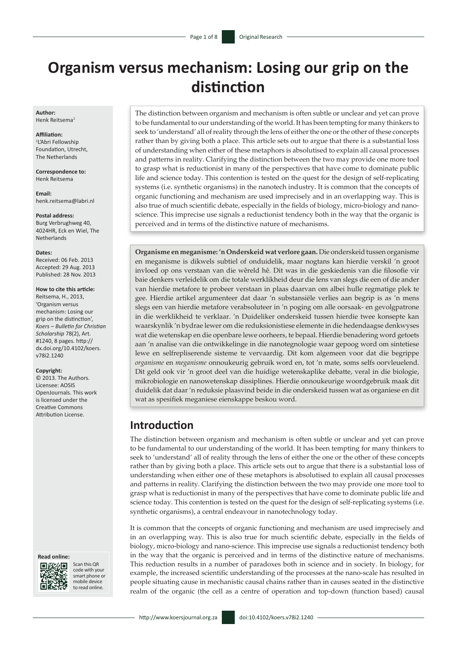# **Organism versus mechanism: Losing our grip on the distinction**

**Author:** Henk Reitsema<sup>1</sup>

**Affiliation:** 1 L'Abri Fellowship Foundation, Utrecht, The Netherlands

**Correspondence to:** Henk Reitsema

**Email:** [henk.reitsema@labri.nl](mailto:Henk.Reitsema@labri.nl)

**Postal address:** Burg Verbrughweg 40, 4024HR, Eck en Wiel, The Netherlands

**Dates:**

Received: 06 Feb. 2013 Accepted: 29 Aug. 2013 Published: 28 Nov. 2013

#### **How to cite this article:**

Reitsema, H., 2013, 'Organism versus mechanism: Losing our grip on the distinction', *Koers – Bulletin for Christian Scholarship* 78(2), Art. #1240, 8 pages. [http://](http://dx.doi.org/10.4102/koers.v78i2.1240) [dx.doi.org/10.4102/koers.](http://dx.doi.org/10.4102/koers.v78i2.1240) [v78i2.1240](http://dx.doi.org/10.4102/koers.v78i2.1240)

#### **Copyright:**

© 2013. The Authors. Licensee: AOSIS OpenJournals. This work is licensed under the Creative Commons Attribution License.

#### **Read online:**



Scan this QR code with your smart phone or mobile device to read online.

The distinction between organism and mechanism is often subtle or unclear and yet can prove to be fundamental to our understanding of the world. It has been tempting for many thinkers to seek to 'understand' all of reality through the lens of either the one or the other of these concepts rather than by giving both a place. This article sets out to argue that there is a substantial loss of understanding when either of these metaphors is absolutised to explain all causal processes and patterns in reality. Clarifying the distinction between the two may provide one more tool to grasp what is reductionist in many of the perspectives that have come to dominate public life and science today. This contention is tested on the quest for the design of self-replicating systems (i.e. synthetic organisms) in the nanotech industry. It is common that the concepts of organic functioning and mechanism are used imprecisely and in an overlapping way. This is also true of much scientific debate, especially in the fields of biology, micro-biology and nanoscience. This imprecise use signals a reductionist tendency both in the way that the organic is perceived and in terms of the distinctive nature of mechanisms.

**Organisme en meganisme: 'n Onderskeid wat verlore gaan.** Die onderskeid tussen organisme en meganisme is dikwels subtiel of onduidelik, maar nogtans kan hierdie verskil 'n groot invloed op ons verstaan van die wêreld hê. Dit was in die geskiedenis van die filosofie vir baie denkers verleidelik om die totale werklikheid deur die lens van slegs die een of die ander van hierdie metafore te probeer verstaan in plaas daarvan om albei hulle regmatige plek te gee. Hierdie artikel argumenteer dat daar 'n substansiële verlies aan begrip is as 'n mens slegs een van hierdie metafore verabsoluteer in 'n poging om alle oorsaak- en gevolgpatrone in die werklikheid te verklaar. 'n Duideliker onderskeid tussen hierdie twee konsepte kan waarskynlik 'n bydrae lewer om die reduksionistiese elemente in die hedendaagse denkwyses wat die wetenskap en die openbare lewe oorheers, te bepaal. Hierdie benadering word getoets aan 'n analise van die ontwikkelinge in die nanotegnologie waar gepoog word om sintetiese lewe en selfrepliserende sisteme te vervaardig. Dit kom algemeen voor dat die begrippe *organisme* en *meganisme* onnoukeurig gebruik word en, tot 'n mate, soms selfs oorvleuelend. Dit geld ook vir 'n groot deel van die huidige wetenskaplike debatte, veral in die biologie, mikrobiologie en nanowetenskap dissiplines. Hierdie onnoukeurige woordgebruik maak dit duidelik dat daar 'n reduksie plaasvind beide in die onderskeid tussen wat as organiese en dit wat as spesifiek meganiese eienskappe beskou word.

#### **Introduction**

The distinction between organism and mechanism is often subtle or unclear and yet can prove to be fundamental to our understanding of the world. It has been tempting for many thinkers to seek to 'understand' all of reality through the lens of either the one or the other of these concepts rather than by giving both a place. This article sets out to argue that there is a substantial loss of understanding when either one of these metaphors is absolutised to explain all causal processes and patterns in reality. Clarifying the distinction between the two may provide one more tool to grasp what is reductionist in many of the perspectives that have come to dominate public life and science today. This contention is tested on the quest for the design of self-replicating systems (i.e. synthetic organisms), a central endeavour in nanotechnology today.

It is common that the concepts of organic functioning and mechanism are used imprecisely and in an overlapping way. This is also true for much scientific debate, especially in the fields of biology, micro-biology and nano-science. This imprecise use signals a reductionist tendency both in the way that the organic is perceived and in terms of the distinctive nature of mechanisms. This reduction results in a number of paradoxes both in science and in society. In biology, for example, the increased scientific understanding of the processes at the nano-scale has resulted in people situating cause in mechanistic causal chains rather than in causes seated in the distinctive realm of the organic (the cell as a centre of operation and top-down (function based) causal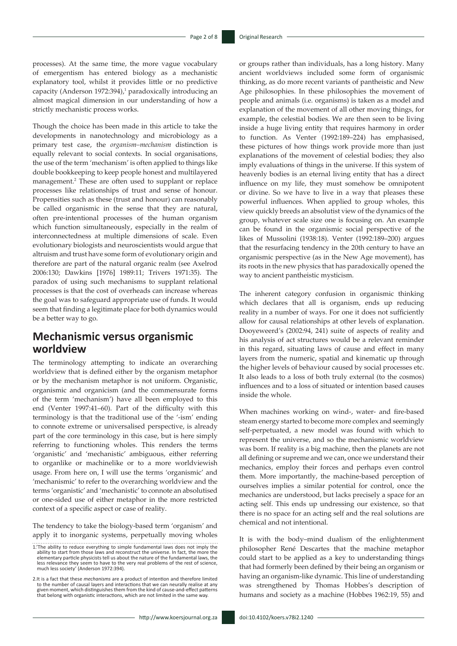processes). At the same time, the more vague vocabulary of emergentism has entered biology as a mechanistic explanatory tool, whilst it provides little or no predictive capacity (Anderson 1972:394),<sup>1</sup> paradoxically introducing an almost magical dimension in our understanding of how a strictly mechanistic process works.

Though the choice has been made in this article to take the developments in nanotechnology and microbiology as a primary test case, the *organism–mechanism* distinction is equally relevant to social contexts. In social organisations, the use of the term 'mechanism' is often applied to things like double bookkeeping to keep people honest and multilayered management.2 These are often used to supplant or replace processes like relationships of trust and sense of honour. Propensities such as these (trust and honour) can reasonably be called organismic in the sense that they are natural, often pre-intentional processes of the human organism which function simultaneously, especially in the realm of interconnectedness at multiple dimensions of scale. Even evolutionary biologists and neuroscientists would argue that altruism and trust have some form of evolutionary origin and therefore are part of the natural organic realm (see Axelrod 2006:130; Dawkins [1976] 1989:11; Trivers 1971:35). The paradox of using such mechanisms to supplant relational processes is that the cost of overheads can increase whereas the goal was to safeguard appropriate use of funds. It would seem that finding a legitimate place for both dynamics would be a better way to go.

### **Mechanismic versus organismic worldview**

The terminology attempting to indicate an overarching worldview that is defined either by the organism metaphor or by the mechanism metaphor is not uniform. Organistic, organismic and organicism (and the commensurate forms of the term 'mechanism') have all been employed to this end (Venter 1997:41–60). Part of the difficulty with this terminology is that the traditional use of the '-ism' ending to connote extreme or universalised perspective, is already part of the core terminology in this case, but is here simply referring to functioning wholes. This renders the terms 'organistic' and 'mechanistic' ambiguous, either referring to organlike or machinelike or to a more worldviewish usage. From here on, I will use the terms 'organismic' and 'mechanismic' to refer to the overarching worldview and the terms 'organistic' and 'mechanistic' to connote an absolutised or one-sided use of either metaphor in the more restricted context of a specific aspect or case of reality.

The tendency to take the biology-based term 'organism' and apply it to inorganic systems, perpetually moving wholes or groups rather than individuals, has a long history. Many ancient worldviews included some form of organismic thinking, as do more recent variants of pantheistic and New Age philosophies. In these philosophies the movement of people and animals (i.e. organisms) is taken as a model and explanation of the movement of all other moving things, for example, the celestial bodies. We are then seen to be living inside a huge living entity that requires harmony in order to function. As Venter (1992:189–224) has emphasised, these pictures of how things work provide more than just explanations of the movement of celestial bodies; they also imply evaluations of things in the universe. If this system of heavenly bodies is an eternal living entity that has a direct influence on my life, they must somehow be omnipotent or divine. So we have to live in a way that pleases these powerful influences. When applied to group wholes, this view quickly breeds an absolutist view of the dynamics of the group, whatever scale size one is focusing on. An example can be found in the organismic social perspective of the likes of Mussolini (1938:18). Venter (1992:189–200) argues that the resurfacing tendency in the 20th century to have an organismic perspective (as in the New Age movement), has its roots in the new physics that has paradoxically opened the way to ancient pantheistic mysticism.

The inherent category confusion in organismic thinking which declares that all is organism, ends up reducing reality in a number of ways. For one it does not sufficiently allow for causal relationships at other levels of explanation. Dooyeweerd's (2002:94, 241) suite of aspects of reality and his analysis of act structures would be a relevant reminder in this regard, situating laws of cause and effect in many layers from the numeric, spatial and kinematic up through the higher levels of behaviour caused by social processes etc. It also leads to a loss of both truly external (to the cosmos) influences and to a loss of situated or intention based causes inside the whole.

When machines working on wind-, water- and fire-based steam energy started to become more complex and seemingly self-perpetuated, a new model was found with which to represent the universe, and so the mechanismic worldview was born. If reality is a big machine, then the planets are not all defining or supreme and we can, once we understand their mechanics, employ their forces and perhaps even control them. More importantly, the machine-based perception of ourselves implies a similar potential for control, once the mechanics are understood, but lacks precisely a space for an acting self. This ends up undressing our existence, so that there is no space for an acting self and the real solutions are chemical and not intentional.

It is with the body–mind dualism of the enlightenment philosopher René Descartes that the machine metaphor could start to be applied as a key to understanding things that had formerly been defined by their being an organism or having an organism-like dynamic. This line of understanding was strengthened by Thomas Hobbes's description of humans and society as a machine (Hobbes 1962:19, 55) and

<sup>1.&#</sup>x27;The ability to reduce everything to simple fundamental laws does not imply the ability to start from those laws and reconstruct the universe. In fact, the more the elementary particle physicists tell us about the nature of the fundamental laws, the less relevance they seem to have to the very real pr

<sup>2.</sup> It is a fact that these *mechanisms* are a product of intention and therefore limited to the number of causal layers and interactions that we can neurally realise at any given moment, which distinguishes them from the k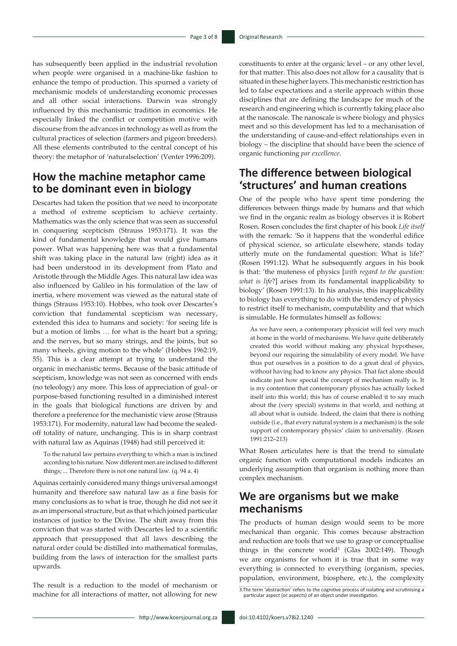has subsequently been applied in the industrial revolution when people were organised in a machine-like fashion to enhance the tempo of production. This spurned a variety of mechanismic models of understanding economic processes and all other social interactions. Darwin was strongly influenced by this mechanismic tradition in economics. He especially linked the conflict or competition motive with discourse from the advances in technology as well as from the cultural practices of selection (farmers and pigeon breeders). All these elements contributed to the central concept of his theory: the metaphor of 'naturalselection' (Venter 1996:209).

### **How the machine metaphor came to be dominant even in biology**

Descartes had taken the position that we need to incorporate a method of extreme scepticism to achieve certainty. Mathematics was the only science that was seen as successful in conquering scepticism (Strauss 1953:171). It was the kind of fundamental knowledge that would give humans power. What was happening here was that a fundamental shift was taking place in the natural law (right) idea as it had been understood in its development from Plato and Aristotle through the Middle Ages. This natural law idea was also influenced by Galileo in his formulation of the law of inertia, where movement was viewed as the natural state of things (Strauss 1953:10). Hobbes, who took over Descartes's conviction that fundamental scepticism was necessary, extended this idea to humans and society: 'for seeing life is but a motion of limbs … for what is the heart but a spring; and the nerves, but so many strings, and the joints, but so many wheels, giving motion to the whole' (Hobbes 1962:19, 55). This is a clear attempt at trying to understand the organic in mechanistic terms. Because of the basic attitude of scepticism, knowledge was not seen as concerned with ends (no teleology) any more. This loss of appreciation of goal- or purpose-based functioning resulted in a diminished interest in the goals that biological functions are driven by and therefore a preference for the mechanistic view arose (Strauss 1953:171). For modernity, natural law had become the sealedoff totality of nature, unchanging. This is in sharp contrast with natural law as Aquinas (1948) had still perceived it:

To the natural law pertains everything to which a man is inclined according to his nature. Now different men are inclined to different things; ... Therefore there is not one natural law. (q. 94 a. 4)

Aquinas certainly considered many things universal amongst humanity and therefore saw natural law as a fine basis for many conclusions as to what is true, though he did not see it as an impersonal structure, but as that which joined particular instances of justice to the Divine. The shift away from this conviction that was started with Descartes led to a scientific approach that presupposed that all laws describing the natural order could be distilled into mathematical formulas, building from the laws of interaction for the smallest parts upwards.

The result is a reduction to the model of mechanism or machine for all interactions of matter, not allowing for new constituents to enter at the organic level – or any other level, for that matter. This also does not allow for a causality that is situated in these higher layers. This mechanistic restriction has led to false expectations and a sterile approach within those disciplines that are defining the landscape for much of the research and engineering which is currently taking place also at the nanoscale. The nanoscale is where biology and physics meet and so this development has led to a mechanisation of the understanding of cause-and-effect relationships even in biology – the discipline that should have been the science of organic functioning *par excellence*.

# **The difference between biological 'structures' and human creations**

One of the people who have spent time pondering the differences between things made by humans and that which we find in the organic realm as biology observes it is Robert Rosen. Rosen concludes the first chapter of his book *Life itself* with the remark: 'So it happens that the wonderful edifice of physical science, so articulate elsewhere, stands today utterly mute on the fundamental question: What is life?' (Rosen 1991:12). What he subsequently argues in his book is that: 'the muteness of physics [*with regard to the question: what is life*?] arises from its fundamental inapplicability to biology' (Rosen 1991:13). In his analysis, this inapplicability to biology has everything to do with the tendency of physics to restrict itself to mechanism, computability and that which is simulable. He formulates himself as follows:

As we have seen, a contemporary physicist will feel very much at home in the world of mechanisms. We have quite deliberately created this world without making any physical hypotheses, beyond our requiring the simulability of every model. We have thus put ourselves in a position to do a great deal of physics, without having had to know any physics. That fact alone should indicate just how special the concept of mechanism really is. It is my contention that contemporary physics has actually locked itself into this world; this has of course enabled it to say much about the (very special) systems in that world, and nothing at all about what is outside. Indeed, the claim that there is nothing outside (i.e., that every natural system is a mechanism) is the sole support of contemporary physics' claim to universality. (Rosen 1991:212–213)

What Rosen articulates here is that the trend to simulate organic function with computational models indicates an underlying assumption that organism is nothing more than complex mechanism.

# **We are organisms but we make mechanisms**

The products of human design would seem to be more mechanical than organic. This comes because abstraction and reduction are tools that we use to grasp or conceptualise things in the concrete world<sup>3</sup> (Glas  $2002:149$ ). Though we are organisms for whom it is true that in some way everything is connected to everything (organism, species, population, environment, biosphere, etc.), the complexity 3.The term 'abstraction' refers to the cognitive process of isolating and scrutinising a particular aspect (or aspects) of an object under investigation.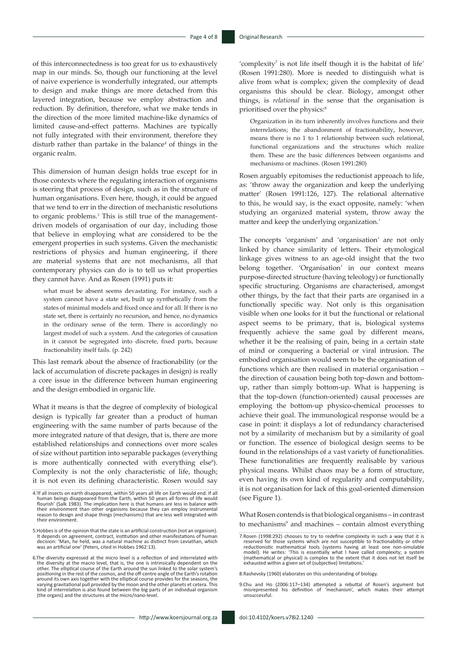of this interconnectedness is too great for us to exhaustively map in our minds. So, though our functioning at the level of naive experience is wonderfully integrated, our attempts to design and make things are more detached from this layered integration, because we employ abstraction and reduction. By definition, therefore, what we make tends in the direction of the more limited machine-like dynamics of limited cause-and-effect patterns. Machines are typically not fully integrated with their environment, therefore they disturb rather than partake in the balance*<sup>4</sup>* of things in the organic realm.

This dimension of human design holds true except for in those contexts where the regulating interaction of organisms is steering that process of design, such as in the structure of human organisations. Even here, though, it could be argued that we tend to err in the direction of mechanistic resolutions to organic problems.*<sup>5</sup>* This is still true of the managementdriven models of organisation of our day, including those that believe in employing what are considered to be the emergent properties in such systems. Given the mechanistic restrictions of physics and human engineering, if there are material systems that are not mechanisms, all that contemporary physics can do is to tell us what properties they cannot have. And as Rosen (1991) puts it:

what must be absent seems devastating. For instance, such a system cannot have a state set, built up synthetically from the states of minimal models and fixed once and for all. If there is no state set, there is certainly no recursion, and hence, no dynamics in the ordinary sense of the term. There is accordingly no largest model of such a system. And the categories of causation in it cannot be segregated into discrete, fixed parts, because fractionability itself fails. (p. 242)

This last remark about the absence of fractionability (or the lack of accumulation of discrete packages in design) is really a core issue in the difference between human engineering and the design embodied in organic life.

What it means is that the degree of complexity of biological design is typically far greater than a product of human engineering with the same number of parts because of the more integrated nature of that design, that is, there are more established relationships and connections over more scales of size without partition into separable packages (everything is more authentically connected with everything else<sup>6</sup>). Complexity is not the only characteristic of life, though; it is not even its defining characteristic. Rosen would say

'complexity<sup>7</sup> is not life itself though it is the habitat of life' (Rosen 1991:280). More is needed to distinguish what is alive from what is complex; given the complexity of dead organisms this should be clear. Biology, amongst other things, is *relational* in the sense that the organisation is prioritised over the physics:8

Organization in its turn inherently involves functions and their interrelations; the abandonment of fractionability, however, means there is no 1 to 1 relationship between such relational, functional organizations and the structures which realize them. These are the basic differences between organisms and mechanisms or machines. (Rosen 1991:280)

Rosen arguably epitomises the reductionist approach to life, as: 'throw away the organization and keep the underlying matter' (Rosen 1991:126, 127). The relational alternative to this, he would say, is the exact opposite, namely: 'when studying an organized material system, throw away the matter and keep the underlying organization.'

The concepts 'organism' and 'organisation' are not only linked by chance similarity of letters. Their etymological linkage gives witness to an age-old insight that the two belong together. 'Organisation' in our context means purpose-directed structure (having teleology) or functionally specific structuring. Organisms are characterised, amongst other things, by the fact that their parts are organised in a functionally specific way. Not only is this organisation visible when one looks for it but the functional or relational aspect seems to be primary, that is, biological systems frequently achieve the same goal by different means, whether it be the realising of pain, being in a certain state of mind or conquering a bacterial or viral intrusion. The embodied organisation would seem to be the organisation of functions which are then realised in material organisation – the direction of causation being both top-down and bottomup, rather than simply bottom-up. What is happening is that the top-down (function-oriented) causal processes are employing the bottom-up physico-chemical processes to achieve their goal. The immunological response would be a case in point: it displays a lot of redundancy characterised not by a similarity of mechanism but by a similarity of goal or function. The essence of biological design seems to be found in the relationships of a vast variety of functionalities. These functionalities are frequently realisable by various physical means. Whilst chaos may be a form of structure, even having its own kind of regularity and computability, it is not organisation for lack of this goal-oriented dimension (see Figure 1).

What Rosen contends is that biological organisms – in contrast to mechanisms<sup>9</sup> and machines – contain almost everything

8.Rashevsky (1960) elaborates on this understanding of biology.

9.Chu and Ho (2006:117–134) attempted a rebuttal of Rosen's argument but misrepresented his definition of 'mechanism', which makes their attempt unsuccessful.

<sup>4.&#</sup>x27;If all insects on earth disappeared, within 50 years all life on Earth would end. If all human beings disappeared from the Earth, within 50 years all forms of life would flourish' (Salk 1983). The implication here is that humans are less in balance with their environment than other organisms because they can employ instrumental reason to design and shape things (mechanisms) that are less well integrated with their environment.

<sup>5.</sup>Hobbes is of the opinion that the state is an artificial construction (not an organism). It depends on agreement, contract, institution and other manifestations of human decision: 'Man, he held, was a natural machine as distinct from Leviathan, which was an artificial one' (Peters, cited in Hobbes 1962:13).

<sup>6.</sup>The diversity expressed at the micro level is a reflection of and interrelated with the diversity at the macro level, that is, the one is intrinsically dependent on the other. The elliptical course of the Earth around the sun linked to the solar system's positioning in the rest of the cosmos, and the off-centre angle of the Earth's rotation around its own axis together with the elliptical course provides for the seasons, the varying gravitational pull provided by the moon and the other planets et cetera. This kind of interrelation is also found between the big parts of an individual organism (the organs) and the structures at the micro/nano-level.

<sup>7.</sup>Rosen (1998:292) chooses to try to redefine complexity in such a way that it is reserved for those systems which are not susceptible to fractionability or other reductionistic mathematical tools (systems having at least one non-simulable model). He writes: 'This is essentially what I have called compl exhausted within a given set of (subjective) limitations.'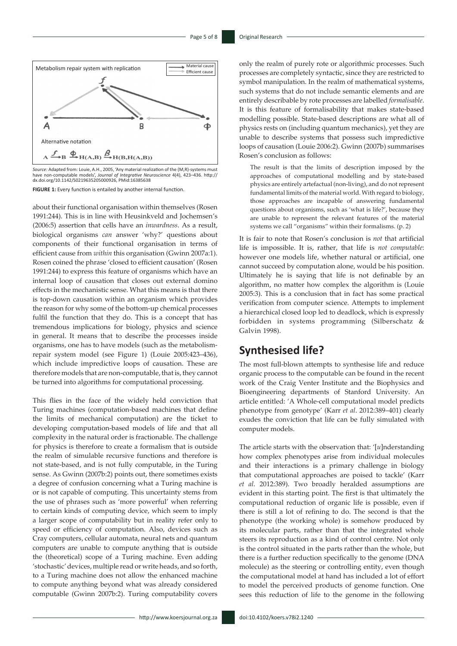

*Source:* Adapted from: Louie, A.H., 2005, 'Any material realization of the (M,R)-systems must have non-computable models', *Journal of Integrative Neuroscience* 4(4), 423–436. [http://](http://dx.doi.org/10.1142/S0219635205000926) [dx.doi.org/10.1142/S0219635205000926](http://dx.doi.org/10.1142/S0219635205000926), PMid:16385638

**FIGURE 1:** Every function is entailed by another internal function.

about their functional organisation within themselves (Rosen 1991:244). This is in line with Heusinkveld and Jochemsen's (2006:5) assertion that cells have an *inwardness*. As a result, biological organisms *can* answer 'why?' questions about components of their functional organisation in terms of efficient cause from *within* this organisation (Gwinn 2007a:1). Rosen coined the phrase 'closed to efficient causation' (Rosen 1991:244) to express this feature of organisms which have an internal loop of causation that closes out external domino effects in the mechanistic sense. What this means is that there is top-down causation within an organism which provides the reason for why some of the bottom-up chemical processes fulfil the function that they do. This is a concept that has tremendous implications for biology, physics and science in general. It means that to describe the processes inside organisms, one has to have models (such as the metabolismrepair system model (see Figure 1) (Louie 2005:423–436), which include impredictive loops of causation. These are therefore models that are non-computable, that is, they cannot be turned into algorithms for computational processing.

This flies in the face of the widely held conviction that Turing machines (computation-based machines that define the limits of mechanical computation) are the ticket to developing computation-based models of life and that all complexity in the natural order is fractionable. The challenge for physics is therefore to create a formalism that is outside the realm of simulable recursive functions and therefore is not state-based, and is not fully computable, in the Turing sense. As Gwinn (2007b:2) points out, there sometimes exists a degree of confusion concerning what a Turing machine is or is not capable of computing. This uncertainty stems from the use of phrases such as 'more powerful' when referring to certain kinds of computing device, which seem to imply a larger scope of computability but in reality refer only to speed or efficiency of computation. Also, devices such as Cray computers, cellular automata, neural nets and quantum computers are unable to compute anything that is outside the (theoretical) scope of a Turing machine. Even adding 'stochastic' devices, multiple read or write heads, and so forth, to a Turing machine does not allow the enhanced machine to compute anything beyond what was already considered computable (Gwinn 2007b:2). Turing computability covers

only the realm of purely rote or algorithmic processes. Such processes are completely syntactic, since they are restricted to symbol manipulation. In the realm of mathematical systems, such systems that do not include semantic elements and are entirely describable by rote processes are labelled *formalisable*. It is this feature of formalisability that makes state-based modelling possible. State-based descriptions are what all of physics rests on (including quantum mechanics), yet they are unable to describe systems that possess such impredictive loops of causation (Louie 2006:2). Gwinn (2007b) summarises Rosen's conclusion as follows:

The result is that the limits of description imposed by the approaches of computational modelling and by state-based physics are entirely artefactual (non-living), and do not represent fundamental limits of the material world. With regard to biology, those approaches are incapable of answering fundamental questions about organisms, such as 'what is life?', because they are unable to represent the relevant features of the material systems we call "organisms" within their formalisms. (p. 2)

It is fair to note that Rosen's conclusion is *not* that artificial life is impossible. It is, rather, that life is *not computable*: however one models life, whether natural or artificial, one cannot succeed by computation alone, would be his position. Ultimately he is saying that life is not definable by an algorithm, no matter how complex the algorithm is (Louie 2005:3). This is a conclusion that in fact has some practical verification from computer science. Attempts to implement a hierarchical closed loop led to deadlock, which is expressly forbidden in systems programming (Silberschatz & Galvin 1998).

# **Synthesised life?**

The most full-blown attempts to synthesise life and reduce organic process to the computable can be found in the recent work of the Craig Venter Institute and the Biophysics and Bioengineering departments of Stanford University. An article entitled: 'A Whole-cell computational model predicts phenotype from genotype' (Karr *et al*. 2012:389–401) clearly exudes the conviction that life can be fully simulated with computer models.

The article starts with the observation that: '[*u*]nderstanding how complex phenotypes arise from individual molecules and their interactions is a primary challenge in biology that computational approaches are poised to tackle' (Karr *et al*. 2012:389). Two broadly heralded assumptions are evident in this starting point. The first is that ultimately the computational reduction of organic life is possible, even if there is still a lot of refining to do. The second is that the phenotype (the working whole) is somehow produced by its molecular parts, rather than that the integrated whole steers its reproduction as a kind of control centre. Not only is the control situated in the parts rather than the whole, but there is a further reduction specifically to the genome (DNA molecule) as the steering or controlling entity, even though the computational model at hand has included a lot of effort to model the perceived products of genome function. One sees this reduction of life to the genome in the following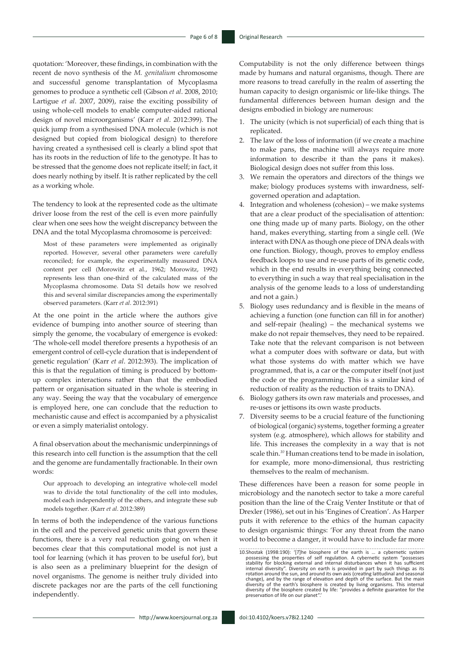quotation: 'Moreover, these findings, in combination with the recent de novo synthesis of the *M. genitalium* chromosome and successful genome transplantation of Mycoplasma genomes to produce a synthetic cell (Gibson *et al*. 2008, 2010; Lartigue *et al*. 2007, 2009), raise the exciting possibility of using whole-cell models to enable computer-aided rational design of novel microorganisms' (Karr *et al*. 2012:399). The quick jump from a synthesised DNA molecule (which is not designed but copied from biological design) to therefore having created a synthesised cell is clearly a blind spot that has its roots in the reduction of life to the genotype. It has to be stressed that the genome does not replicate itself; in fact, it does nearly nothing by itself. It is rather replicated by the cell as a working whole.

The tendency to look at the represented code as the ultimate driver loose from the rest of the cell is even more painfully clear when one sees how the weight discrepancy between the DNA and the total Mycoplasma chromosome is perceived:

Most of these parameters were implemented as originally reported. However, several other parameters were carefully reconciled; for example, the experimentally measured DNA content per cell (Morowitz et al., 1962; Morowitz, 1992) represents less than one-third of the calculated mass of the Mycoplasma chromosome. Data S1 details how we resolved this and several similar discrepancies among the experimentally observed parameters. (Karr *et al*. 2012:391)

At the one point in the article where the authors give evidence of bumping into another source of steering than simply the genome, the vocabulary of emergence is evoked: 'The whole-cell model therefore presents a hypothesis of an emergent control of cell-cycle duration that is independent of genetic regulation' (Karr *et al*. 2012:393). The implication of this is that the regulation of timing is produced by bottomup complex interactions rather than that the embodied pattern or organisation situated in the whole is steering in any way. Seeing the way that the vocabulary of emergence is employed here, one can conclude that the reduction to mechanistic cause and effect is accompanied by a physicalist or even a simply materialist ontology.

A final observation about the mechanismic underpinnings of this research into cell function is the assumption that the cell and the genome are fundamentally fractionable. In their own words:

Our approach to developing an integrative whole-cell model was to divide the total functionality of the cell into modules, model each independently of the others, and integrate these sub models together. (Karr *et al*. 2012:389)

In terms of both the independence of the various functions in the cell and the perceived genetic units that govern these functions, there is a very real reduction going on when it becomes clear that this computational model is not just a tool for learning (which it has proven to be useful for), but is also seen as a preliminary blueprint for the design of novel organisms. The genome is neither truly divided into discrete packages nor are the parts of the cell functioning independently.

Computability is not the only difference between things made by humans and natural organisms, though. There are more reasons to tread carefully in the realm of asserting the human capacity to design organismic or life-like things. The fundamental differences between human design and the designs embodied in biology are numerous:

- 1. The unicity (which is not superficial) of each thing that is replicated.
- 2. The law of the loss of information (if we create a machine to make pans, the machine will always require more information to describe it than the pans it makes). Biological design does not suffer from this loss.
- 3. We remain the operators and directors of the things we make; biology produces systems with inwardness, selfgoverned operation and adaptation.
- 4. Integration and wholeness (cohesion) we make systems that are a clear product of the specialisation of attention: one thing made up of many parts. Biology, on the other hand, makes everything, starting from a single cell. (We interact with DNA as though one piece of DNA deals with one function. Biology, though, proves to employ endless feedback loops to use and re-use parts of its genetic code, which in the end results in everything being connected to everything in such a way that real specialisation in the analysis of the genome leads to a loss of understanding and not a gain.)
- 5. Biology uses redundancy and is flexible in the means of achieving a function (one function can fill in for another) and self-repair (healing) – the mechanical systems we make do not repair themselves, they need to be repaired. Take note that the relevant comparison is not between what a computer does with software or data, but with what those systems do with matter which we have programmed, that is, a car or the computer itself (not just the code or the programming. This is a similar kind of reduction of reality as the reduction of traits to DNA).
- 6. Biology gathers its own raw materials and processes, and re-uses or jettisons its own waste products.
- 7. Diversity seems to be a crucial feature of the functioning of biological (organic) systems, together forming a greater system (e.g. atmosphere), which allows for stability and life. This increases the complexity in a way that is not scale thin.*<sup>10</sup>* Human creations tend to be made in isolation, for example, more mono-dimensional, thus restricting themselves to the realm of mechanism.

These differences have been a reason for some people in microbiology and the nanotech sector to take a more careful position than the line of the Craig Venter Institute or that of Drexler (1986), set out in his 'Engines of Creation'. As Harper puts it with reference to the ethics of the human capacity to design organismic things: 'For any threat from the nano world to become a danger, it would have to include far more

<sup>10.</sup>Shostak (1998:190): '[7]he biosphere of the earth is ... a cybernetic system<br>possessing the properties of self regulation. A cybernetic system "possesses<br>tability for blocking external and internal disturbances when it rotation around the sun, and around its own axis (creating latitudinal and seasonal<br>change), and by the range of elevation and depth of the surface. But the main<br>diversity of the earth's biosphere is created by living orga preservation of life on our planet"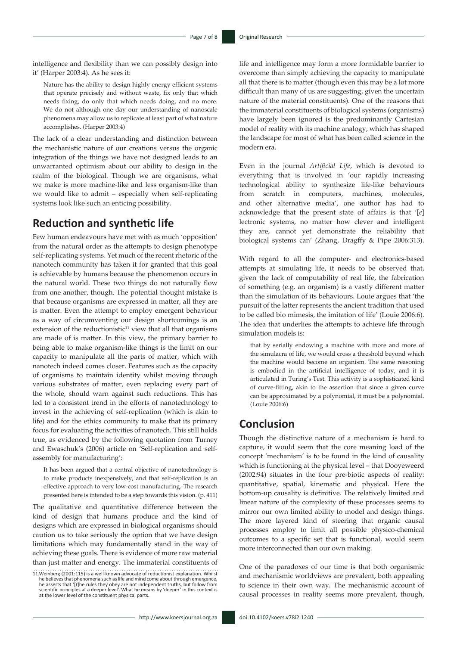intelligence and flexibility than we can possibly design into it' (Harper 2003:4). As he sees it:

Nature has the ability to design highly energy efficient systems that operate precisely and without waste, fix only that which needs fixing, do only that which needs doing, and no more. We do not although one day our understanding of nanoscale phenomena may allow us to replicate at least part of what nature accomplishes. (Harper 2003:4)

The lack of a clear understanding and distinction between the mechanistic nature of our creations versus the organic integration of the things we have not designed leads to an unwarranted optimism about our ability to design in the realm of the biological. Though we are organisms, what we make is more machine-like and less organism-like than we would like to admit – especially when self-replicating systems look like such an enticing possibility.

### **Reduction and synthetic life**

Few human endeavours have met with as much 'opposition' from the natural order as the attempts to design phenotype self-replicating systems. Yet much of the recent rhetoric of the nanotech community has taken it for granted that this goal is achievable by humans because the phenomenon occurs in the natural world. These two things do not naturally flow from one another, though. The potential thought mistake is that because organisms are expressed in matter, all they are is matter. Even the attempt to employ emergent behaviour as a way of circumventing our design shortcomings is an extension of the reductionistic $11$  view that all that organisms are made of is matter. In this view, the primary barrier to being able to make organism-like things is the limit on our capacity to manipulate all the parts of matter, which with nanotech indeed comes closer. Features such as the capacity of organisms to maintain identity whilst moving through various substrates of matter, even replacing every part of the whole, should warn against such reductions. This has led to a consistent trend in the efforts of nanotechnology to invest in the achieving of self-replication (which is akin to life) and for the ethics community to make that its primary focus for evaluating the activities of nanotech. This still holds true, as evidenced by the following quotation from Turney and Ewaschuk's (2006) article on 'Self-replication and selfassembly for manufacturing':

It has been argued that a central objective of nanotechnology is to make products inexpensively, and that self-replication is an effective approach to very low-cost manufacturing. The research presented here is intended to be a step towards this vision. (p. 411)

The qualitative and quantitative difference between the kind of design that humans produce and the kind of designs which are expressed in biological organisms should caution us to take seriously the option that we have design limitations which may fundamentally stand in the way of achieving these goals. There is evidence of more raw material than just matter and energy. The immaterial constituents of life and intelligence may form a more formidable barrier to overcome than simply achieving the capacity to manipulate all that there is to matter (though even this may be a lot more difficult than many of us are suggesting, given the uncertain nature of the material constituents). One of the reasons that the immaterial constituents of biological systems (organisms) have largely been ignored is the predominantly Cartesian model of reality with its machine analogy, which has shaped the landscape for most of what has been called science in the modern era.

Even in the journal *Artificial Life*, which is devoted to everything that is involved in 'our rapidly increasing technological ability to synthesize life-like behaviours from scratch in computers, machines, molecules, and other alternative media', one author has had to acknowledge that the present state of affairs is that '[*e*] lectronic systems, no matter how clever and intelligent they are, cannot yet demonstrate the reliability that biological systems can' (Zhang, Dragffy & Pipe 2006:313).

With regard to all the computer- and electronics-based attempts at simulating life, it needs to be observed that, given the lack of computability of real life, the fabrication of something (e.g. an organism) is a vastly different matter than the simulation of its behaviours. Louie argues that 'the pursuit of the latter represents the ancient tradition that used to be called bio mimesis, the imitation of life' (Louie 2006:6). The idea that underlies the attempts to achieve life through simulation models is:

that by serially endowing a machine with more and more of the simulacra of life, we would cross a threshold beyond which the machine would become an organism. The same reasoning is embodied in the artificial intelligence of today, and it is articulated in Turing's Test. This activity is a sophisticated kind of curve-fitting, akin to the assertion that since a given curve can be approximated by a polynomial, it must be a polynomial. (Louie 2006:6)

### **Conclusion**

Though the distinctive nature of a mechanism is hard to capture, it would seem that the core meaning load of the concept 'mechanism' is to be found in the kind of causality which is functioning at the physical level – that Dooyeweerd (2002:94) situates in the four pre-biotic aspects of reality: quantitative, spatial, kinematic and physical. Here the bottom-up causality is definitive. The relatively limited and linear nature of the complexity of these processes seems to mirror our own limited ability to model and design things. The more layered kind of steering that organic causal processes employ to limit all possible physico-chemical outcomes to a specific set that is functional, would seem more interconnected than our own making.

One of the paradoxes of our time is that both organismic and mechanismic worldviews are prevalent, both appealing to science in their own way. The mechanismic account of causal processes in reality seems more prevalent, though,

<sup>11.</sup>Weinberg (2001:115) is a well-known advocate of reductionist explanation. Whilst<br>he believes that phenomena such as life and mind come about through emergence,<br>he asserts that '[t]he rules they obey are not independent at the lower level of the constituent physical parts.